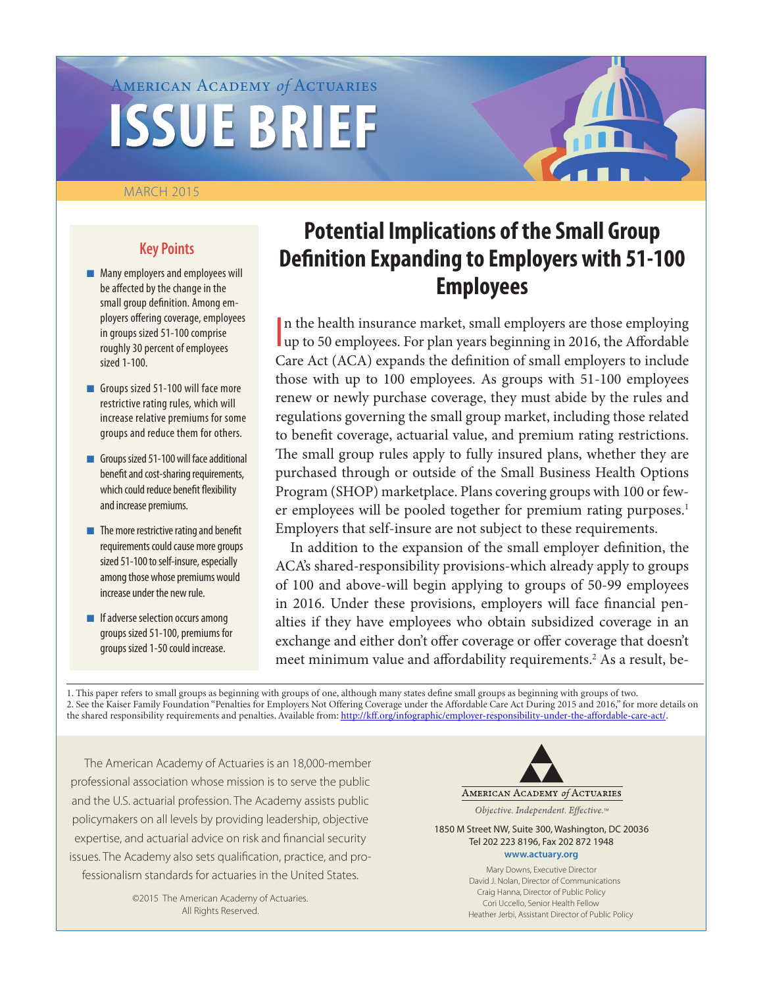# American Academy *of* Actuaries **ISSUE BRIEF**

#### MARCH 2015

# **Key Points**

- **n** Many employers and employees will be affected by the change in the small group definition. Among employers offering coverage, employees in groups sized 51-100 comprise roughly 30 percent of employees sized 1-100.
- Groups sized 51-100 will face more restrictive rating rules, which will increase relative premiums for some groups and reduce them for others.
- **n** Groups sized 51-100 will face additional benefit and cost-sharing requirements, which could reduce benefit flexibility and increase premiums.
- $\blacksquare$  The more restrictive rating and benefit requirements could cause more groups sized 51-100 to self-insure, especially among those whose premiums would increase under the new rule.
- $\blacksquare$  If adverse selection occurs among groups sized 51-100, premiums for groups sized 1-50 could increase.

# **Potential Implications of the Small Group Definition Expanding to Employers with 51-100 Employees**

I n the health insurance market, small employers are those employing up to 50 employees. For plan years beginning in 2016, the Affordable Care Act (ACA) expands the definition of small employers to include those with up to 100 employees. As groups with 51-100 employees renew or newly purchase coverage, they must abide by the rules and regulations governing the small group market, including those related to benefit coverage, actuarial value, and premium rating restrictions. The small group rules apply to fully insured plans, whether they are purchased through or outside of the Small Business Health Options Program (SHOP) marketplace. Plans covering groups with 100 or fewer employees will be pooled together for premium rating purposes.<sup>1</sup> Employers that self-insure are not subject to these requirements.

In addition to the expansion of the small employer definition, the ACA's shared-responsibility provisions-which already apply to groups of 100 and above-will begin applying to groups of 50-99 employees in 2016. Under these provisions, employers will face financial penalties if they have employees who obtain subsidized coverage in an exchange and either don't offer coverage or offer coverage that doesn't meet minimum value and affordability requirements.<sup>2</sup> As a result, be-

1. This paper refers to small groups as beginning with groups of one, although many states define small groups as beginning with groups of two. 2. See the Kaiser Family Foundation "Penalties for Employers Not Offering Coverage under the Affordable Care Act During 2015 and 2016," for more details on the shared responsibility requirements and penalties. Available from: <http://kff.org/infographic/employer-responsibility-under-the-affordable-care-act/.>

The American Academy of Actuaries is an 18,000-member professional association whose mission is to serve the public and the U.S. actuarial profession. The Academy assists public policymakers on all levels by providing leadership, objective expertise, and actuarial advice on risk and financial security issues. The Academy also sets qualification, practice, and professionalism standards for actuaries in the United States.

> ©2015 The American Academy of Actuaries. All Rights Reserved.



Objective. Independent. Effective.™

1850 M Street NW, Suite 300, Washington, DC 20036 Tel 202 223 8196, Fax 202 872 1948

#### **<www.actuary.org>**

Mary Downs, Executive Director David J. Nolan, Director of Communications Craig Hanna, Director of Public Policy Cori Uccello, Senior Health Fellow Heather Jerbi, Assistant Director of Public Policy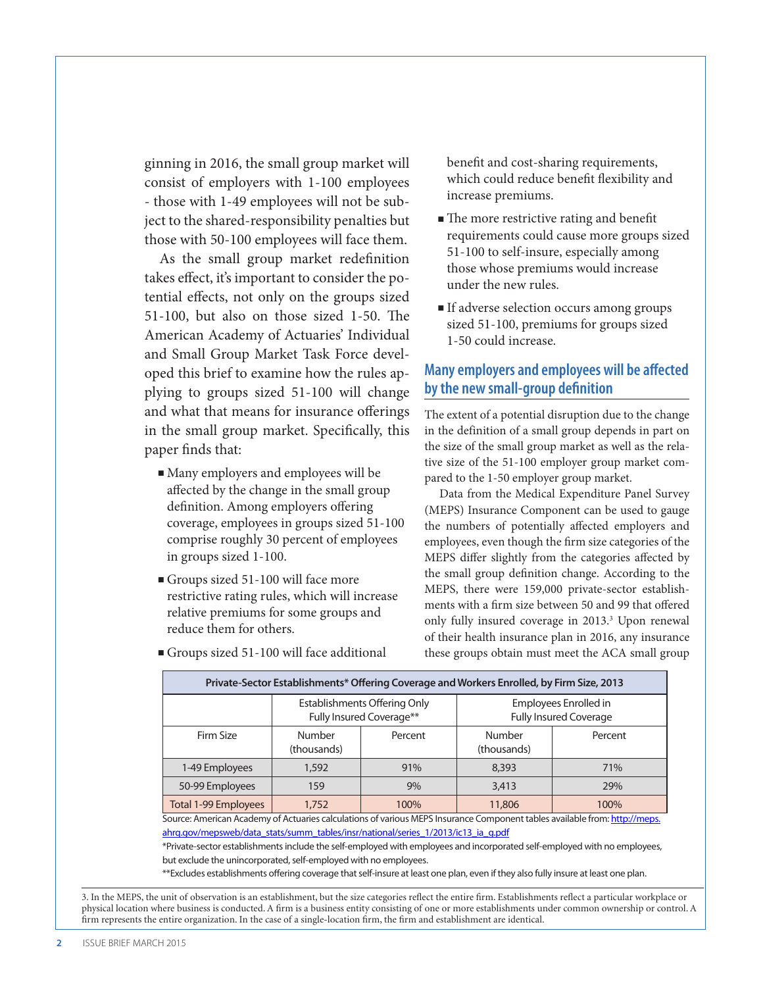ginning in 2016, the small group market will consist of employers with 1-100 employees - those with 1-49 employees will not be subject to the shared-responsibility penalties but those with 50-100 employees will face them.

As the small group market redefinition takes effect, it's important to consider the potential effects, not only on the groups sized 51-100, but also on those sized 1-50. The American Academy of Actuaries' Individual and Small Group Market Task Force developed this brief to examine how the rules applying to groups sized 51-100 will change and what that means for insurance offerings in the small group market. Specifically, this paper finds that:

- $\blacksquare$  Many employers and employees will be affected by the change in the small group definition. Among employers offering coverage, employees in groups sized 51-100 comprise roughly 30 percent of employees in groups sized 1-100.
- Groups sized 51-100 will face more restrictive rating rules, which will increase relative premiums for some groups and reduce them for others.

benefit and cost-sharing requirements, which could reduce benefit flexibility and increase premiums.

- The more restrictive rating and benefit requirements could cause more groups sized 51-100 to self-insure, especially among those whose premiums would increase under the new rules.
- If adverse selection occurs among groups sized 51-100, premiums for groups sized 1-50 could increase.

# **Many employers and employees will be affected by the new small-group definition**

The extent of a potential disruption due to the change in the definition of a small group depends in part on the size of the small group market as well as the relative size of the 51-100 employer group market compared to the 1-50 employer group market.

Data from the Medical Expenditure Panel Survey (MEPS) Insurance Component can be used to gauge the numbers of potentially affected employers and employees, even though the firm size categories of the MEPS differ slightly from the categories affected by the small group definition change. According to the MEPS, there were 159,000 private-sector establishments with a firm size between 50 and 99 that offered only fully insured coverage in 2013.<sup>3</sup> Upon renewal of their health insurance plan in 2016, any insurance these groups obtain must meet the ACA small group

| Private-Sector Establishments* Offering Coverage and Workers Enrolled, by Firm Size, 2013 |                                                          |         |                                                        |         |  |
|-------------------------------------------------------------------------------------------|----------------------------------------------------------|---------|--------------------------------------------------------|---------|--|
|                                                                                           | Establishments Offering Only<br>Fully Insured Coverage** |         | Employees Enrolled in<br><b>Fully Insured Coverage</b> |         |  |
| Firm Size                                                                                 | <b>Number</b><br>(thousands)                             | Percent | Number<br>(thousands)                                  | Percent |  |
| 1-49 Employees                                                                            | 1,592                                                    | 91%     | 8,393                                                  | 71%     |  |
| 50-99 Employees                                                                           | 159                                                      | 9%      | 3,413                                                  | 29%     |  |
| Total 1-99 Employees                                                                      | 1.752                                                    | 100%    | 11,806                                                 | 100%    |  |

<sup>n</sup>Groups sized 51-100 will face additional

Source: American Academy of Actuaries calculations of various MEPS Insurance Component tables available from: [http://meps.](http://meps.ahrq.gov/mepsweb/data_stats/summ_tables/insr/national/series_1/2013/ic13_ia_g.pdf) ahrg.gov/mepsweb/data\_stats/summ\_tables/insr/national/series\_1/2013/ic13\_ia\_g.pdf

\*Private-sector establishments include the self-employed with employees and incorporated self-employed with no employees, but exclude the unincorporated, self-employed with no employees.

\*\*Excludes establishments offering coverage that self-insure at least one plan, even if they also fully insure at least one plan.

3. In the MEPS, the unit of observation is an establishment, but the size categories reflect the entire firm. Establishments reflect a particular workplace or physical location where business is conducted. A firm is a business entity consisting of one or more establishments under common ownership or control. A firm represents the entire organization. In the case of a single-location firm, the firm and establishment are identical.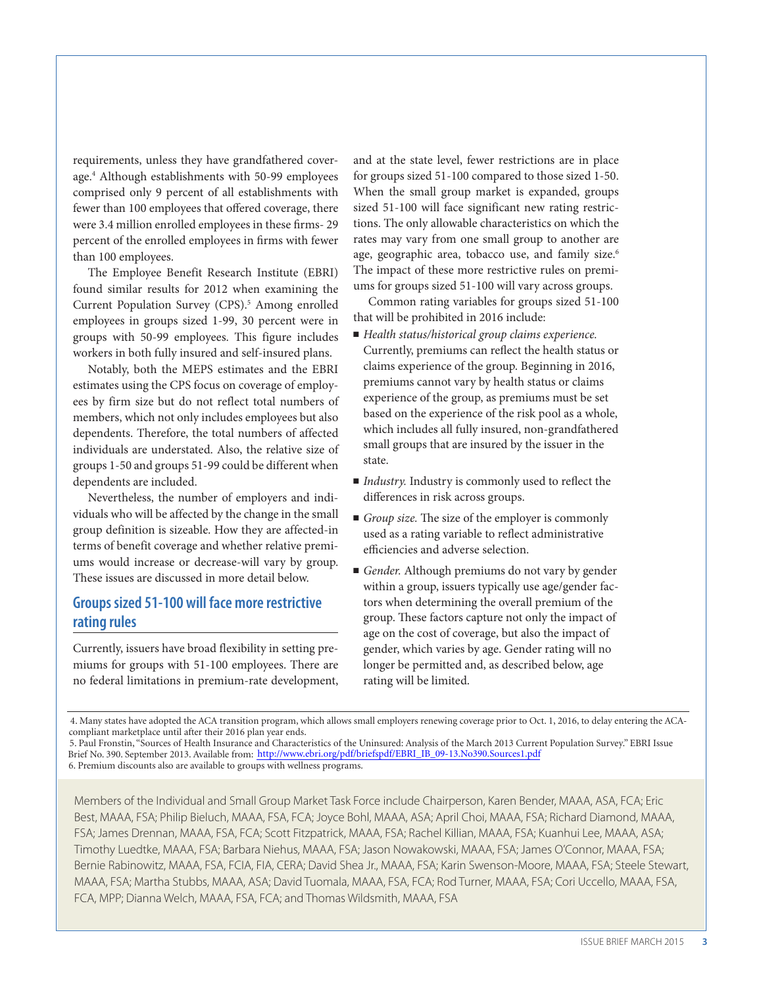requirements, unless they have grandfathered coverage.4 Although establishments with 50-99 employees comprised only 9 percent of all establishments with fewer than 100 employees that offered coverage, there were 3.4 million enrolled employees in these firms- 29 percent of the enrolled employees in firms with fewer than 100 employees.

The Employee Benefit Research Institute (EBRI) found similar results for 2012 when examining the Current Population Survey (CPS).<sup>5</sup> Among enrolled employees in groups sized 1-99, 30 percent were in groups with 50-99 employees. This figure includes workers in both fully insured and self-insured plans.

Notably, both the MEPS estimates and the EBRI estimates using the CPS focus on coverage of employees by firm size but do not reflect total numbers of members, which not only includes employees but also dependents. Therefore, the total numbers of affected individuals are understated. Also, the relative size of groups 1-50 and groups 51-99 could be different when dependents are included.

Nevertheless, the number of employers and individuals who will be affected by the change in the small group definition is sizeable. How they are affected-in terms of benefit coverage and whether relative premiums would increase or decrease-will vary by group. These issues are discussed in more detail below.

## **Groups sized 51-100 will face more restrictive rating rules**

Currently, issuers have broad flexibility in setting premiums for groups with 51-100 employees. There are no federal limitations in premium-rate development,

and at the state level, fewer restrictions are in place for groups sized 51-100 compared to those sized 1-50. When the small group market is expanded, groups sized 51-100 will face significant new rating restrictions. The only allowable characteristics on which the rates may vary from one small group to another are age, geographic area, tobacco use, and family size.<sup>6</sup> The impact of these more restrictive rules on premiums for groups sized 51-100 will vary across groups.

Common rating variables for groups sized 51-100 that will be prohibited in 2016 include:

- *Health status/historical group claims experience.* Currently, premiums can reflect the health status or claims experience of the group. Beginning in 2016, premiums cannot vary by health status or claims experience of the group, as premiums must be set based on the experience of the risk pool as a whole, which includes all fully insured, non-grandfathered small groups that are insured by the issuer in the state.
- *Industry*. Industry is commonly used to reflect the differences in risk across groups.
- *Group size*. The size of the employer is commonly used as a rating variable to reflect administrative efficiencies and adverse selection.
- *Gender*. Although premiums do not vary by gender within a group, issuers typically use age/gender factors when determining the overall premium of the group. These factors capture not only the impact of age on the cost of coverage, but also the impact of gender, which varies by age. Gender rating will no longer be permitted and, as described below, age rating will be limited.

4. Many states have adopted the ACA transition program, which allows small employers renewing coverage prior to Oct. 1, 2016, to delay entering the ACAcompliant marketplace until after their 2016 plan year ends.

5. Paul Fronstin, "Sources of Health Insurance and Characteristics of the Uninsured: Analysis of the March 2013 Current Population Survey." EBRI Issue Brief No. 390. September 2013. Available fro[m: http://www.ebri.org/pdf/briefspdf/EBRI\\_IB\\_09-13.No390.Sources1.p](http://www.ebri.org/pdf/briefspdf/EBRI_IB_09-13.No390.Sources1.pdf)df 6. Premium discounts also are available to groups with wellness programs.

Members of the Individual and Small Group Market Task Force include Chairperson, Karen Bender, MAAA, ASA, FCA; Eric Best, MAAA, FSA; Philip Bieluch, MAAA, FSA, FCA; Joyce Bohl, MAAA, ASA; April Choi, MAAA, FSA; Richard Diamond, MAAA, FSA; James Drennan, MAAA, FSA, FCA; Scott Fitzpatrick, MAAA, FSA; Rachel Killian, MAAA, FSA; Kuanhui Lee, MAAA, ASA; Timothy Luedtke, MAAA, FSA; Barbara Niehus, MAAA, FSA; Jason Nowakowski, MAAA, FSA; James O'Connor, MAAA, FSA; Bernie Rabinowitz, MAAA, FSA, FCIA, FIA, CERA; David Shea Jr., MAAA, FSA; Karin Swenson-Moore, MAAA, FSA; Steele Stewart, MAAA, FSA; Martha Stubbs, MAAA, ASA; David Tuomala, MAAA, FSA, FCA; Rod Turner, MAAA, FSA; Cori Uccello, MAAA, FSA, FCA, MPP; Dianna Welch, MAAA, FSA, FCA; and Thomas Wildsmith, MAAA, FSA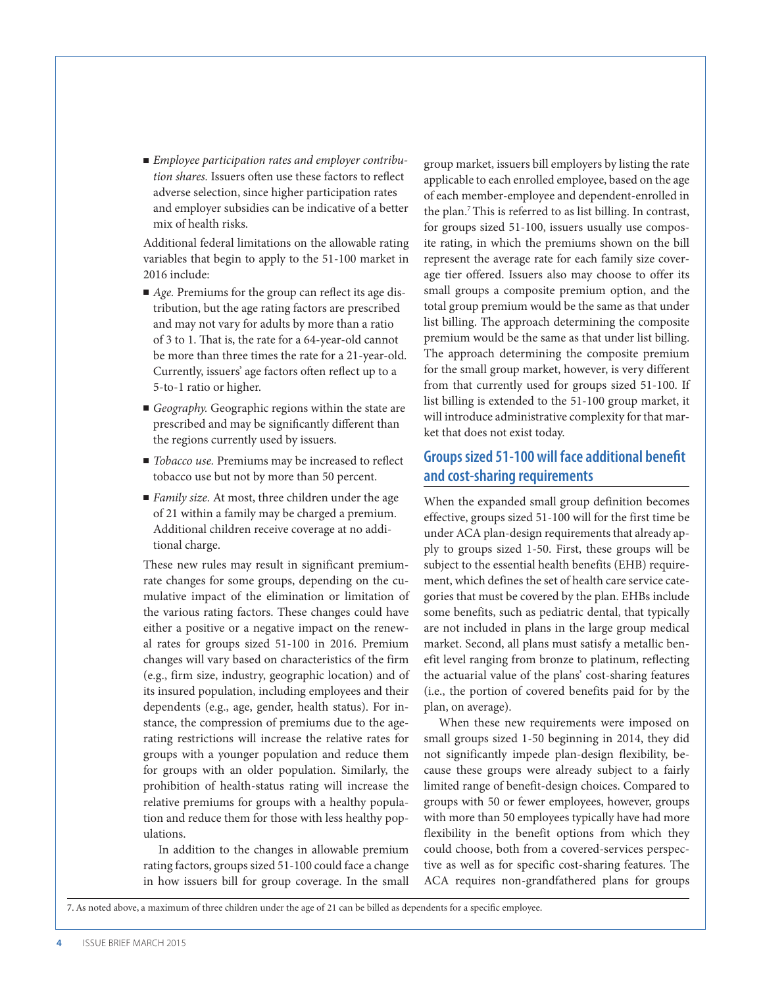■ *Employee participation rates and employer contribution shares.* Issuers often use these factors to reflect adverse selection, since higher participation rates and employer subsidies can be indicative of a better mix of health risks.

Additional federal limitations on the allowable rating variables that begin to apply to the 51-100 market in 2016 include:

- *Age*. Premiums for the group can reflect its age distribution, but the age rating factors are prescribed and may not vary for adults by more than a ratio of 3 to 1. That is, the rate for a 64-year-old cannot be more than three times the rate for a 21-year-old. Currently, issuers' age factors often reflect up to a 5-to-1 ratio or higher.
- *Geography*. Geographic regions within the state are prescribed and may be significantly different than the regions currently used by issuers.
- *Tobacco use*. Premiums may be increased to reflect tobacco use but not by more than 50 percent.
- *Family size*. At most, three children under the age of 21 within a family may be charged a premium. Additional children receive coverage at no additional charge.

These new rules may result in significant premiumrate changes for some groups, depending on the cumulative impact of the elimination or limitation of the various rating factors. These changes could have either a positive or a negative impact on the renewal rates for groups sized 51-100 in 2016. Premium changes will vary based on characteristics of the firm (e.g., firm size, industry, geographic location) and of its insured population, including employees and their dependents (e.g., age, gender, health status). For instance, the compression of premiums due to the agerating restrictions will increase the relative rates for groups with a younger population and reduce them for groups with an older population. Similarly, the prohibition of health-status rating will increase the relative premiums for groups with a healthy population and reduce them for those with less healthy populations.

In addition to the changes in allowable premium rating factors, groups sized 51-100 could face a change in how issuers bill for group coverage. In the small

group market, issuers bill employers by listing the rate applicable to each enrolled employee, based on the age of each member-employee and dependent-enrolled in the plan.7 This is referred to as list billing. In contrast, for groups sized 51-100, issuers usually use composite rating, in which the premiums shown on the bill represent the average rate for each family size coverage tier offered. Issuers also may choose to offer its small groups a composite premium option, and the total group premium would be the same as that under list billing. The approach determining the composite premium would be the same as that under list billing. The approach determining the composite premium for the small group market, however, is very different from that currently used for groups sized 51-100. If list billing is extended to the 51-100 group market, it will introduce administrative complexity for that market that does not exist today.

#### **Groups sized 51-100 will face additional benefit and cost-sharing requirements**

When the expanded small group definition becomes effective, groups sized 51-100 will for the first time be under ACA plan-design requirements that already apply to groups sized 1-50. First, these groups will be subject to the essential health benefits (EHB) requirement, which defines the set of health care service categories that must be covered by the plan. EHBs include some benefits, such as pediatric dental, that typically are not included in plans in the large group medical market. Second, all plans must satisfy a metallic benefit level ranging from bronze to platinum, reflecting the actuarial value of the plans' cost-sharing features (i.e., the portion of covered benefits paid for by the plan, on average).

When these new requirements were imposed on small groups sized 1-50 beginning in 2014, they did not significantly impede plan-design flexibility, because these groups were already subject to a fairly limited range of benefit-design choices. Compared to groups with 50 or fewer employees, however, groups with more than 50 employees typically have had more flexibility in the benefit options from which they could choose, both from a covered-services perspective as well as for specific cost-sharing features. The ACA requires non-grandfathered plans for groups

7. As noted above, a maximum of three children under the age of 21 can be billed as dependents for a specific employee.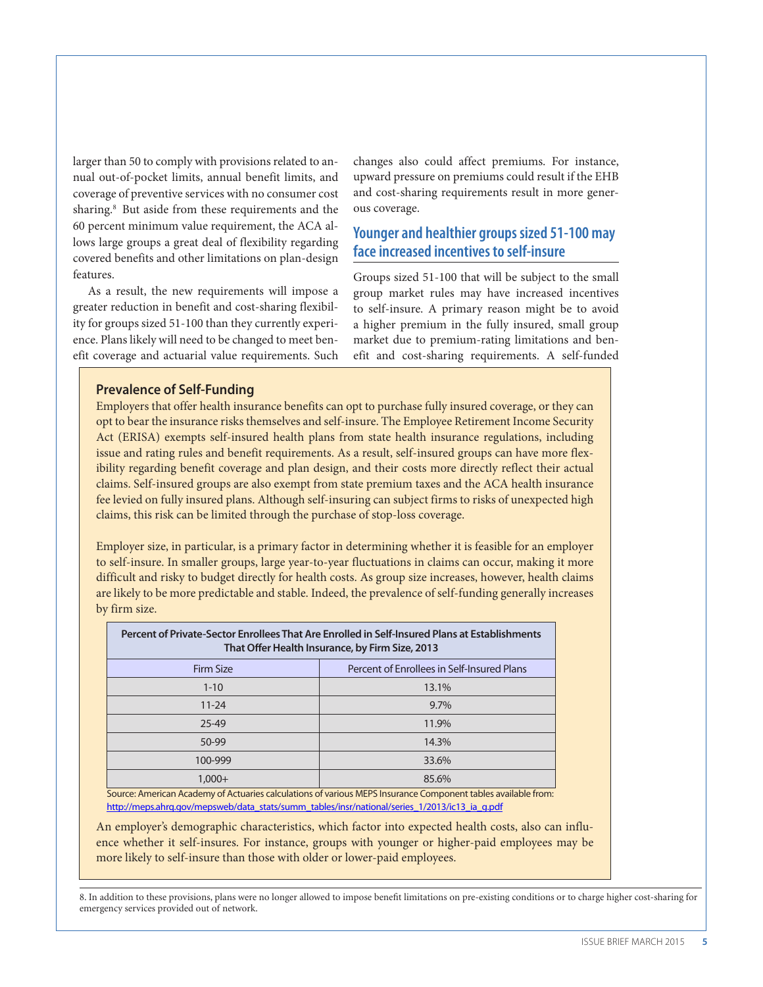larger than 50 to comply with provisions related to annual out-of-pocket limits, annual benefit limits, and coverage of preventive services with no consumer cost sharing.<sup>8</sup> But aside from these requirements and the 60 percent minimum value requirement, the ACA allows large groups a great deal of flexibility regarding covered benefits and other limitations on plan-design features.

As a result, the new requirements will impose a greater reduction in benefit and cost-sharing flexibility for groups sized 51-100 than they currently experience. Plans likely will need to be changed to meet benefit coverage and actuarial value requirements. Such

changes also could affect premiums. For instance, upward pressure on premiums could result if the EHB and cost-sharing requirements result in more generous coverage.

#### **Younger and healthier groups sized 51-100 may face increased incentives to self-insure**

Groups sized 51-100 that will be subject to the small group market rules may have increased incentives to self-insure. A primary reason might be to avoid a higher premium in the fully insured, small group market due to premium-rating limitations and benefit and cost-sharing requirements. A self-funded

#### **Prevalence of Self-Funding**

Employers that offer health insurance benefits can opt to purchase fully insured coverage, or they can opt to bear the insurance risks themselves and self-insure. The Employee Retirement Income Security Act (ERISA) exempts self-insured health plans from state health insurance regulations, including issue and rating rules and benefit requirements. As a result, self-insured groups can have more flexibility regarding benefit coverage and plan design, and their costs more directly reflect their actual claims. Self-insured groups are also exempt from state premium taxes and the ACA health insurance fee levied on fully insured plans. Although self-insuring can subject firms to risks of unexpected high claims, this risk can be limited through the purchase of stop-loss coverage.

Employer size, in particular, is a primary factor in determining whether it is feasible for an employer to self-insure. In smaller groups, large year-to-year fluctuations in claims can occur, making it more difficult and risky to budget directly for health costs. As group size increases, however, health claims are likely to be more predictable and stable. Indeed, the prevalence of self-funding generally increases by firm size.

| Percent of Private-Sector Enrollees That Are Enrolled in Self-Insured Plans at Establishments<br>That Offer Health Insurance, by Firm Size, 2013 |                                            |  |  |  |
|--------------------------------------------------------------------------------------------------------------------------------------------------|--------------------------------------------|--|--|--|
| <b>Firm Size</b>                                                                                                                                 | Percent of Enrollees in Self-Insured Plans |  |  |  |
| $1 - 10$                                                                                                                                         | 13.1%                                      |  |  |  |
| $11 - 24$                                                                                                                                        | $9.7\%$                                    |  |  |  |
| $25 - 49$                                                                                                                                        | 11.9%                                      |  |  |  |
| 50-99                                                                                                                                            | 14.3%                                      |  |  |  |
| 100-999                                                                                                                                          | 33.6%                                      |  |  |  |
| $1.000 +$                                                                                                                                        | 85.6%                                      |  |  |  |

Source: American Academy of Actuaries calculations of various MEPS Insurance Component tables available from: [http://meps.ahrq.gov/mepsweb/data\\_stats/summ\\_tables/insr/national/series\\_1/2013/ic13\\_ia\\_g.pdf](http://meps.ahrq.gov/mepsweb/data_stats/summ_tables/insr/national/series_1/2013/ic13_ia_g.pdf)

An employer's demographic characteristics, which factor into expected health costs, also can influence whether it self-insures. For instance, groups with younger or higher-paid employees may be more likely to self-insure than those with older or lower-paid employees.

8. In addition to these provisions, plans were no longer allowed to impose benefit limitations on pre-existing conditions or to charge higher cost-sharing for emergency services provided out of network.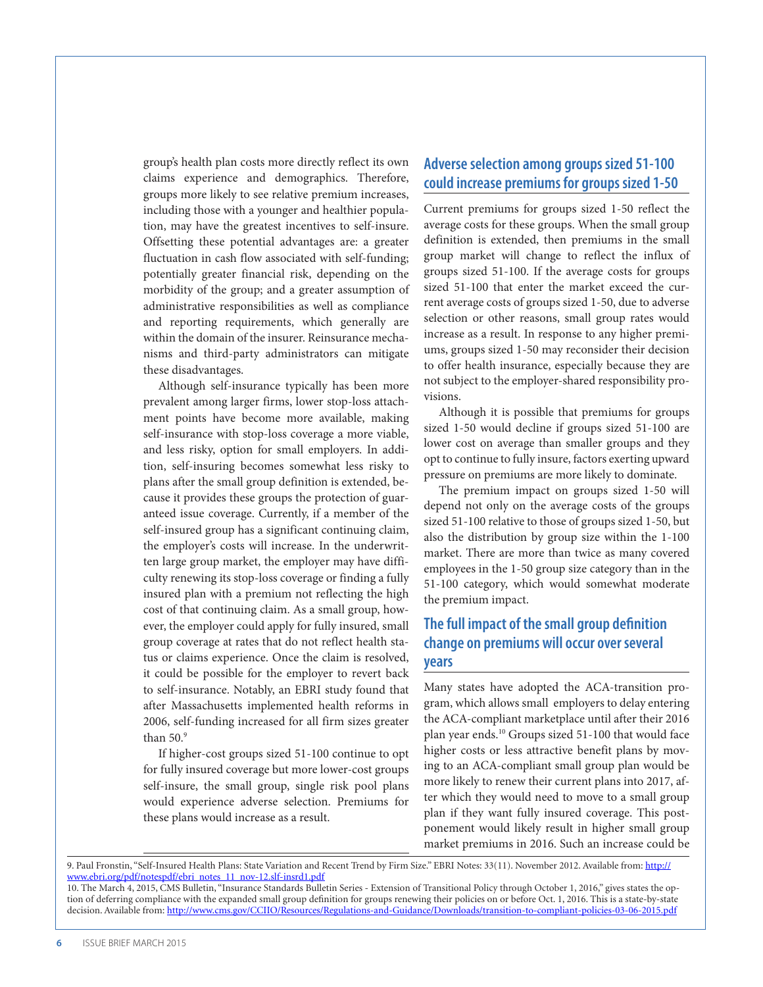group's health plan costs more directly reflect its own claims experience and demographics. Therefore, groups more likely to see relative premium increases, including those with a younger and healthier population, may have the greatest incentives to self-insure. Offsetting these potential advantages are: a greater fluctuation in cash flow associated with self-funding; potentially greater financial risk, depending on the morbidity of the group; and a greater assumption of administrative responsibilities as well as compliance and reporting requirements, which generally are within the domain of the insurer. Reinsurance mechanisms and third-party administrators can mitigate these disadvantages.

Although self-insurance typically has been more prevalent among larger firms, lower stop-loss attachment points have become more available, making self-insurance with stop-loss coverage a more viable, and less risky, option for small employers. In addition, self-insuring becomes somewhat less risky to plans after the small group definition is extended, because it provides these groups the protection of guaranteed issue coverage. Currently, if a member of the self-insured group has a significant continuing claim, the employer's costs will increase. In the underwritten large group market, the employer may have difficulty renewing its stop-loss coverage or finding a fully insured plan with a premium not reflecting the high cost of that continuing claim. As a small group, however, the employer could apply for fully insured, small group coverage at rates that do not reflect health status or claims experience. Once the claim is resolved, it could be possible for the employer to revert back to self-insurance. Notably, an EBRI study found that after Massachusetts implemented health reforms in 2006, self-funding increased for all firm sizes greater than 50.9

If higher-cost groups sized 51-100 continue to opt for fully insured coverage but more lower-cost groups self-insure, the small group, single risk pool plans would experience adverse selection. Premiums for these plans would increase as a result.

### **Adverse selection among groups sized 51-100 could increase premiums for groups sized 1-50**

Current premiums for groups sized 1-50 reflect the average costs for these groups. When the small group definition is extended, then premiums in the small group market will change to reflect the influx of groups sized 51-100. If the average costs for groups sized 51-100 that enter the market exceed the current average costs of groups sized 1-50, due to adverse selection or other reasons, small group rates would increase as a result. In response to any higher premiums, groups sized 1-50 may reconsider their decision to offer health insurance, especially because they are not subject to the employer-shared responsibility provisions.

Although it is possible that premiums for groups sized 1-50 would decline if groups sized 51-100 are lower cost on average than smaller groups and they opt to continue to fully insure, factors exerting upward pressure on premiums are more likely to dominate.

The premium impact on groups sized 1-50 will depend not only on the average costs of the groups sized 51-100 relative to those of groups sized 1-50, but also the distribution by group size within the 1-100 market. There are more than twice as many covered employees in the 1-50 group size category than in the 51-100 category, which would somewhat moderate the premium impact.

#### **The full impact of the small group definition change on premiums will occur over several years**

Many states have adopted the ACA-transition program, which allows small employers to delay entering the ACA-compliant marketplace until after their 2016 plan year ends.10 Groups sized 51-100 that would face higher costs or less attractive benefit plans by moving to an ACA-compliant small group plan would be more likely to renew their current plans into 2017, after which they would need to move to a small group plan if they want fully insured coverage. This postponement would likely result in higher small group market premiums in 2016. Such an increase could be

9. Paul Fronstin, "Self-Insured Health Plans: State Variation and Recent Trend by Firm Size." EBRI Notes: 33(11). November 2012. Available from: [http://](http://www.ebri.org/pdf/notespdf/ebri_notes_11_nov-12.slf-insrd1.pdf) [www.ebri.org/pdf/notespdf/ebri\\_notes\\_11\\_nov-12.slf-insrd1.pdf](http://www.ebri.org/pdf/notespdf/ebri_notes_11_nov-12.slf-insrd1.pdf)

10. The March 4, 2015, CMS Bulletin, "Insurance Standards Bulletin Series - Extension of Transitional Policy through October 1, 2016," gives states the option of deferring compliance with the expanded small group definition for groups renewing their policies on or before Oct. 1, 2016. This is a state-by-state decision. Available from: <http://www.cms.gov/CCIIO/Resources/Regulations-and-Guidance/Downloads/transition-to-compliant-policies-03-06-2015.pdf>